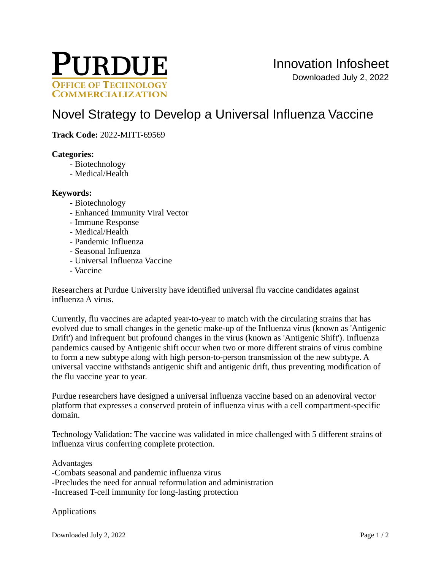

# [Novel Strategy to Develop a Universal Influenza Vaccine](https://inventions.prf.org/innovation/8180)

**Track Code:** 2022-MITT-69569

### **Categories:**

- Biotechnology
- Medical/Health

### **Keywords:**

- Biotechnology
- Enhanced Immunity Viral Vector
- Immune Response
- Medical/Health
- Pandemic Influenza
- Seasonal Influenza
- Universal Influenza Vaccine
- Vaccine

Researchers at Purdue University have identified universal flu vaccine candidates against influenza A virus.

Currently, flu vaccines are adapted year-to-year to match with the circulating strains that has evolved due to small changes in the genetic make-up of the Influenza virus (known as 'Antigenic Drift') and infrequent but profound changes in the virus (known as 'Antigenic Shift'). Influenza pandemics caused by Antigenic shift occur when two or more different strains of virus combine to form a new subtype along with high person-to-person transmission of the new subtype. A universal vaccine withstands antigenic shift and antigenic drift, thus preventing modification of the flu vaccine year to year.

Purdue researchers have designed a universal influenza vaccine based on an adenoviral vector platform that expresses a conserved protein of influenza virus with a cell compartment-specific domain.

Technology Validation: The vaccine was validated in mice challenged with 5 different strains of influenza virus conferring complete protection.

Advantages

-Combats seasonal and pandemic influenza virus -Precludes the need for annual reformulation and administration -Increased T-cell immunity for long-lasting protection

Applications